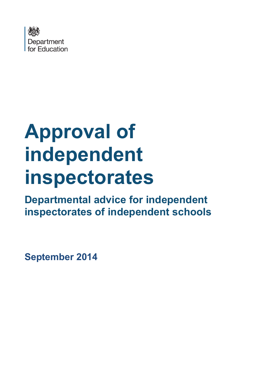

# **Approval of independent inspectorates**

**Departmental advice for independent inspectorates of independent schools**

**September 2014**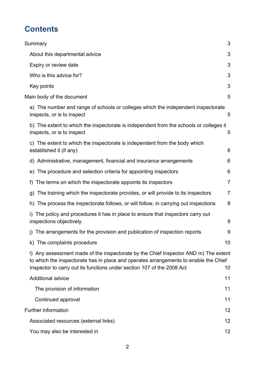# **Contents**

| Summary                                                                                                                                                                                                                                               | 3              |
|-------------------------------------------------------------------------------------------------------------------------------------------------------------------------------------------------------------------------------------------------------|----------------|
|                                                                                                                                                                                                                                                       |                |
| About this departmental advice                                                                                                                                                                                                                        | 3              |
| Expiry or review date                                                                                                                                                                                                                                 | 3              |
| Who is this advice for?                                                                                                                                                                                                                               | 3              |
| Key points                                                                                                                                                                                                                                            | 3              |
| Main body of the document                                                                                                                                                                                                                             | 5              |
| a) The number and range of schools or colleges which the independent inspectorate<br>inspects, or is to inspect                                                                                                                                       | 5              |
| b) The extent to which the inspectorate is independent from the schools or colleges it<br>inspects, or is to inspect                                                                                                                                  | 5              |
| c) The extent to which the inspectorate is independent from the body which<br>established it (if any)                                                                                                                                                 | 6              |
| d) Administrative, management, financial and insurance arrangements                                                                                                                                                                                   | 6              |
| The procedure and selection criteria for appointing inspectors<br>e)                                                                                                                                                                                  | 6              |
| The terms on which the inspectorate appoints its inspectors<br>f)                                                                                                                                                                                     | $\overline{7}$ |
| The training which the inspectorate provides, or will provide to its inspectors<br>g)                                                                                                                                                                 | $\overline{7}$ |
| The process the inspectorate follows, or will follow, in carrying out inspections<br>h)                                                                                                                                                               | 8              |
| The policy and procedures it has in place to ensure that inspectors carry out<br>inspections objectively.                                                                                                                                             | 9              |
| j) The arrangements for the provision and publication of inspection reports                                                                                                                                                                           | 9              |
| k) The complaints procedure                                                                                                                                                                                                                           | 10             |
| I) Any assessment made of the inspectorate by the Chief Inspector AND m) The extent<br>to which the inspectorate has in place and operates arrangements to enable the Chief<br>Inspector to carry out its functions under section 107 of the 2008 Act | 10             |
| <b>Additional advice</b>                                                                                                                                                                                                                              | 11             |
| The provision of information                                                                                                                                                                                                                          | 11             |
| Continued approval                                                                                                                                                                                                                                    | 11             |
| <b>Further information</b>                                                                                                                                                                                                                            | 12             |
| Associated resources (external links)                                                                                                                                                                                                                 | 12             |
| You may also be interested in                                                                                                                                                                                                                         | 12             |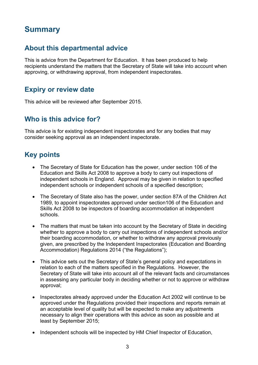# <span id="page-2-0"></span>**Summary**

#### <span id="page-2-1"></span>**About this departmental advice**

This is advice from the Department for Education. It has been produced to help recipients understand the matters that the Secretary of State will take into account when approving, or withdrawing approval, from independent inspectorates.

#### <span id="page-2-2"></span>**Expiry or review date**

<span id="page-2-3"></span>This advice will be reviewed after September 2015.

#### **Who is this advice for?**

This advice is for existing independent inspectorates and for any bodies that may consider seeking approval as an independent inspectorate.

### <span id="page-2-4"></span>**Key points**

- The Secretary of State for Education has the power, under section 106 of the Education and Skills Act 2008 to approve a body to carry out inspections of independent schools in England. Approval may be given in relation to specified independent schools or independent schools of a specified description;
- The Secretary of State also has the power, under section 87A of the Children Act 1989, to appoint inspectorates approved under section106 of the Education and Skills Act 2008 to be inspectors of boarding accommodation at independent schools.
- The matters that must be taken into account by the Secretary of State in deciding whether to approve a body to carry out inspections of independent schools and/or their boarding accommodation, or whether to withdraw any approval previously given, are prescribed by the Independent Inspectorates (Education and Boarding Accommodation) Regulations 2014 ("the Regulations");
- This advice sets out the Secretary of State's general policy and expectations in relation to each of the matters specified in the Regulations. However, the Secretary of State will take into account all of the relevant facts and circumstances in assessing any particular body in deciding whether or not to approve or withdraw approval;
- Inspectorates already approved under the Education Act 2002 will continue to be approved under the Regulations provided their inspections and reports remain at an acceptable level of quality but will be expected to make any adjustments necessary to align their operations with this advice as soon as possible and at least by September 2015;
- Independent schools will be inspected by HM Chief Inspector of Education,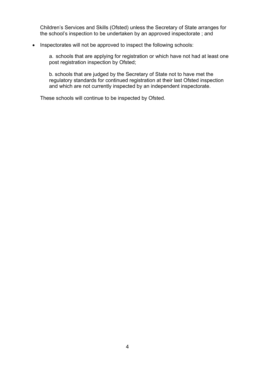Children's Services and Skills (Ofsted) unless the Secretary of State arranges for the school's inspection to be undertaken by an approved inspectorate ; and

#### • Inspectorates will not be approved to inspect the following schools:

a. schools that are applying for registration or which have not had at least one post registration inspection by Ofsted;

b. schools that are judged by the Secretary of State not to have met the regulatory standards for continued registration at their last Ofsted inspection and which are not currently inspected by an independent inspectorate.

These schools will continue to be inspected by Ofsted.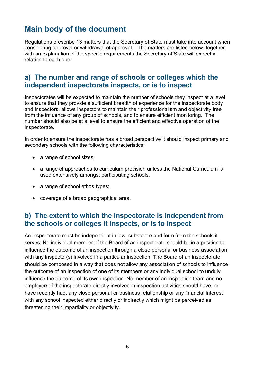# <span id="page-4-0"></span>**Main body of the document**

Regulations prescribe 13 matters that the Secretary of State must take into account when considering approval or withdrawal of approval. The matters are listed below, together with an explanation of the specific requirements the Secretary of State will expect in relation to each one:

#### <span id="page-4-1"></span>**a) The number and range of schools or colleges which the independent inspectorate inspects, or is to inspect**

Inspectorates will be expected to maintain the number of schools they inspect at a level to ensure that they provide a sufficient breadth of experience for the inspectorate body and inspectors, allows inspectors to maintain their professionalism and objectivity free from the influence of any group of schools, and to ensure efficient monitoring. The number should also be at a level to ensure the efficient and effective operation of the inspectorate.

In order to ensure the inspectorate has a broad perspective it should inspect primary and secondary schools with the following characteristics:

- a range of school sizes;
- a range of approaches to curriculum provision unless the National Curriculum is used extensively amongst participating schools;
- a range of school ethos types;
- coverage of a broad geographical area.

#### <span id="page-4-2"></span>**b) The extent to which the inspectorate is independent from the schools or colleges it inspects, or is to inspect**

An inspectorate must be independent in law, substance and form from the schools it serves. No individual member of the Board of an inspectorate should be in a position to influence the outcome of an inspection through a close personal or business association with any inspector(s) involved in a particular inspection. The Board of an inspectorate should be composed in a way that does not allow any association of schools to influence the outcome of an inspection of one of its members or any individual school to unduly influence the outcome of its own inspection. No member of an inspection team and no employee of the inspectorate directly involved in inspection activities should have, or have recently had, any close personal or business relationship or any financial interest with any school inspected either directly or indirectly which might be perceived as threatening their impartiality or objectivity.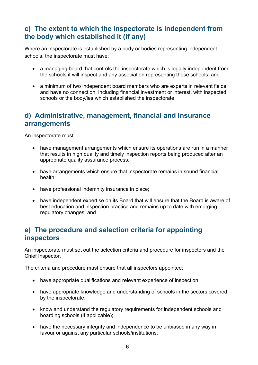#### <span id="page-5-0"></span>**c) The extent to which the inspectorate is independent from the body which established it (if any)**

Where an inspectorate is established by a body or bodies representing independent schools, the inspectorate must have:

- a managing board that controls the inspectorate which is legally independent from the schools it will inspect and any association representing those schools; and
- a minimum of two independent board members who are experts in relevant fields and have no connection, including financial investment or interest, with inspected schools or the body/ies which established the inspectorate.

#### <span id="page-5-1"></span>**d) Administrative, management, financial and insurance arrangements**

An inspectorate must:

- have management arrangements which ensure its operations are run in a manner that results in high quality and timely inspection reports being produced after an appropriate quality assurance process;
- have arrangements which ensure that inspectorate remains in sound financial health;
- have professional indemnity insurance in place;
- have independent expertise on its Board that will ensure that the Board is aware of best education and inspection practice and remains up to date with emerging regulatory changes; and

#### <span id="page-5-2"></span>**e) The procedure and selection criteria for appointing inspectors**

An inspectorate must set out the selection criteria and procedure for inspectors and the Chief Inspector.

The criteria and procedure must ensure that all inspectors appointed:

- have appropriate qualifications and relevant experience of inspection;
- have appropriate knowledge and understanding of schools in the sectors covered by the inspectorate;
- know and understand the regulatory requirements for independent schools and boarding schools (if applicable);
- have the necessary integrity and independence to be unbiased in any way in favour or against any particular schools/institutions;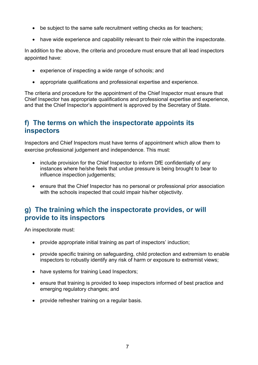- be subject to the same safe recruitment vetting checks as for teachers;
- have wide experience and capability relevant to their role within the inspectorate.

In addition to the above, the criteria and procedure must ensure that all lead inspectors appointed have:

- experience of inspecting a wide range of schools; and
- appropriate qualifications and professional expertise and experience.

The criteria and procedure for the appointment of the Chief Inspector must ensure that Chief Inspector has appropriate qualifications and professional expertise and experience, and that the Chief Inspector's appointment is approved by the Secretary of State.

#### <span id="page-6-0"></span>**f) The terms on which the inspectorate appoints its inspectors**

Inspectors and Chief Inspectors must have terms of appointment which allow them to exercise professional judgement and independence. This must:

- include provision for the Chief Inspector to inform DfE confidentially of any instances where he/she feels that undue pressure is being brought to bear to influence inspection judgements;
- ensure that the Chief Inspector has no personal or professional prior association with the schools inspected that could impair his/her objectivity.

#### <span id="page-6-1"></span>**g) The training which the inspectorate provides, or will provide to its inspectors**

An inspectorate must:

- provide appropriate initial training as part of inspectors' induction;
- provide specific training on safeguarding, child protection and extremism to enable inspectors to robustly identify any risk of harm or exposure to extremist views;
- have systems for training Lead Inspectors;
- ensure that training is provided to keep inspectors informed of best practice and emerging regulatory changes; and
- provide refresher training on a regular basis.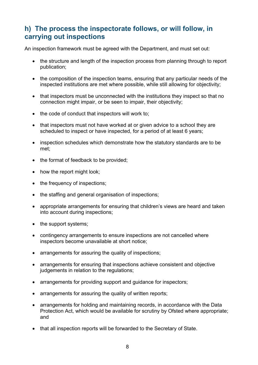#### <span id="page-7-0"></span>**h) The process the inspectorate follows, or will follow, in carrying out inspections**

An inspection framework must be agreed with the Department, and must set out:

- the structure and length of the inspection process from planning through to report publication;
- the composition of the inspection teams, ensuring that any particular needs of the inspected institutions are met where possible, while still allowing for objectivity;
- that inspectors must be unconnected with the institutions they inspect so that no connection might impair, or be seen to impair, their objectivity;
- the code of conduct that inspectors will work to:
- that inspectors must not have worked at or given advice to a school they are scheduled to inspect or have inspected, for a period of at least 6 years;
- inspection schedules which demonstrate how the statutory standards are to be met;
- the format of feedback to be provided:
- how the report might look;
- the frequency of inspections;
- the staffing and general organisation of inspections;
- appropriate arrangements for ensuring that children's views are heard and taken into account during inspections;
- the support systems;
- contingency arrangements to ensure inspections are not cancelled where inspectors become unavailable at short notice;
- arrangements for assuring the quality of inspections;
- arrangements for ensuring that inspections achieve consistent and objective judgements in relation to the regulations;
- arrangements for providing support and guidance for inspectors;
- arrangements for assuring the quality of written reports;
- arrangements for holding and maintaining records, in accordance with the Data Protection Act, which would be available for scrutiny by Ofsted where appropriate; and
- that all inspection reports will be forwarded to the Secretary of State.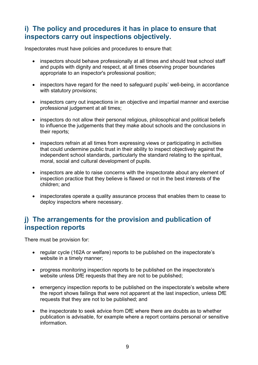#### <span id="page-8-0"></span>**i) The policy and procedures it has in place to ensure that inspectors carry out inspections objectively.**

Inspectorates must have policies and procedures to ensure that:

- inspectors should behave professionally at all times and should treat school staff and pupils with dignity and respect, at all times observing proper boundaries appropriate to an inspector's professional position;
- inspectors have regard for the need to safeguard pupils' well-being, in accordance with statutory provisions;
- inspectors carry out inspections in an objective and impartial manner and exercise professional judgement at all times;
- inspectors do not allow their personal religious, philosophical and political beliefs to influence the judgements that they make about schools and the conclusions in their reports;
- inspectors refrain at all times from expressing views or participating in activities that could undermine public trust in their ability to inspect objectively against the independent school standards, particularly the standard relating to the spiritual, moral, social and cultural development of pupils.
- inspectors are able to raise concerns with the inspectorate about any element of inspection practice that they believe is flawed or not in the best interests of the children; and
- inspectorates operate a quality assurance process that enables them to cease to deploy inspectors where necessary.

#### <span id="page-8-1"></span>**j) The arrangements for the provision and publication of inspection reports**

There must be provision for:

- regular cycle (162A or welfare) reports to be published on the inspectorate's website in a timely manner;
- progress monitoring inspection reports to be published on the inspectorate's website unless DfE requests that they are not to be published;
- emergency inspection reports to be published on the inspectorate's website where the report shows failings that were not apparent at the last inspection, unless DfE requests that they are not to be published; and
- the inspectorate to seek advice from DfE where there are doubts as to whether publication is advisable, for example where a report contains personal or sensitive information.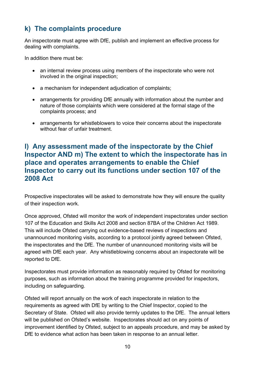# <span id="page-9-0"></span>**k) The complaints procedure**

An inspectorate must agree with DfE, publish and implement an effective process for dealing with complaints.

In addition there must be:

- an internal review process using members of the inspectorate who were not involved in the original inspection;
- a mechanism for independent adjudication of complaints;
- arrangements for providing DfE annually with information about the number and nature of those complaints which were considered at the formal stage of the complaints process; and
- arrangements for whistleblowers to voice their concerns about the inspectorate without fear of unfair treatment.

#### <span id="page-9-1"></span>**l) Any assessment made of the inspectorate by the Chief Inspector AND m) The extent to which the inspectorate has in place and operates arrangements to enable the Chief Inspector to carry out its functions under section 107 of the 2008 Act**

Prospective inspectorates will be asked to demonstrate how they will ensure the quality of their inspection work.

Once approved, Ofsted will monitor the work of independent inspectorates under section 107 of the Education and Skills Act 2008 and section 87BA of the Children Act 1989. This will include Ofsted carrying out evidence-based reviews of inspections and unannounced monitoring visits, according to a protocol jointly agreed between Ofsted, the inspectorates and the DfE. The number of unannounced monitoring visits will be agreed with DfE each year. Any whistleblowing concerns about an inspectorate will be reported to DfE.

Inspectorates must provide information as reasonably required by Ofsted for monitoring purposes, such as information about the training programme provided for inspectors, including on safeguarding.

Ofsted will report annually on the work of each inspectorate in relation to the requirements as agreed with DfE by writing to the Chief Inspector, copied to the Secretary of State. Ofsted will also provide termly updates to the DfE. The annual letters will be published on Ofsted's website. Inspectorates should act on any points of improvement identified by Ofsted, subject to an appeals procedure, and may be asked by DfE to evidence what action has been taken in response to an annual letter.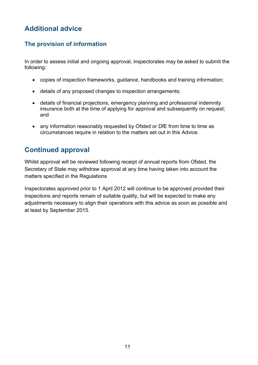# <span id="page-10-0"></span>**Additional advice**

#### <span id="page-10-1"></span>**The provision of information**

In order to assess initial and ongoing approval, inspectorates may be asked to submit the following:

- copies of inspection frameworks, guidance, handbooks and training information;
- details of any proposed changes to inspection arrangements;
- details of financial projections, emergency planning and professional indemnity insurance both at the time of applying for approval and subsequently on request; and
- any information reasonably requested by Ofsted or DfE from time to time as circumstances require in relation to the matters set out in this Advice.

## <span id="page-10-2"></span>**Continued approval**

Whilst approval will be reviewed following receipt of annual reports from Ofsted, the Secretary of State may withdraw approval at any time having taken into account the matters specified in the Regulations

Inspectorates approved prior to 1 April 2012 will continue to be approved provided their inspections and reports remain of suitable quality, but will be expected to make any adjustments necessary to align their operations with this advice as soon as possible and at least by September 2015.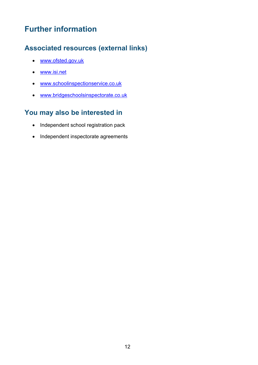# <span id="page-11-0"></span>**Further information**

# <span id="page-11-1"></span>**Associated resources (external links)**

- [www.ofsted.gov.uk](http://www.ofsted.gov.uk/)
- [www.isi.net](http://www.isi.net/)
- [www.schoolinspectionservice.co.uk](http://www.schoolinspectionservice.co.uk/)
- [www.bridgeschoolsinspectorate.co.uk](http://www.bridgeschoolsinspectorate.co.uk/)

# <span id="page-11-2"></span>**You may also be interested in**

- Independent school registration pack
- Independent inspectorate agreements